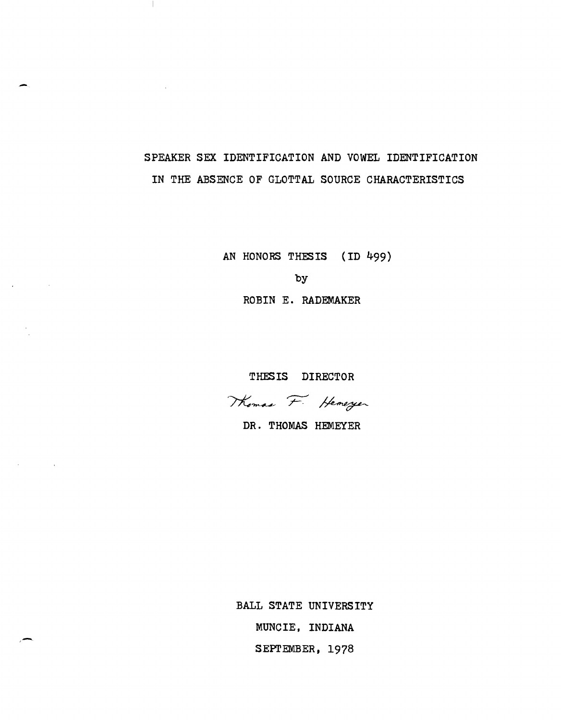# SPEAKER SEX IDENTIFICATION AND VOWEL IDENTIFICATION IN THE ABSENCE OF GLOTTAL SOURCE CHARACTERISTICS

 $\blacksquare$ 

AN HONORS THESIS (ID 499) by ROBIN E. RADEMAKER

THESIS DIRECTOR

Thomas F. Hemeryer

DR. THOMAS HEMEYER

BALL STATE UNIVERSITY MUNCIE, INDIANA SEPTEMBER, 1978

.-.

 $\Delta \sim 10^{11}$ 

 $\sim$   $\sim$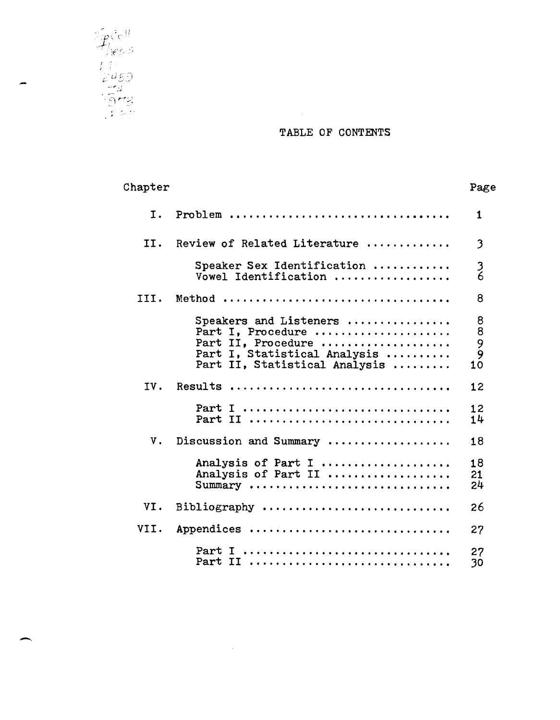

## TABLE OF CONTENTS

| Chapter |                                                                                                                                    | Page                   |
|---------|------------------------------------------------------------------------------------------------------------------------------------|------------------------|
| Τ.      | Problem                                                                                                                            | 1                      |
| II.     | Review of Related Literature                                                                                                       | 3                      |
|         | Speaker Sex Identification<br>Vowel Identification                                                                                 | $\frac{3}{6}$          |
| III.    |                                                                                                                                    | 8                      |
|         | Speakers and Listeners<br>Part I, Procedure<br>Part II, Procedure<br>Part I, Statistical Analysis<br>Part II, Statistical Analysis | 8<br>8<br>9<br>9<br>10 |
| IV.     | Results                                                                                                                            | 12                     |
|         | Part I<br>Part II                                                                                                                  | 12<br>14               |
| ν.      | Discussion and Summary                                                                                                             | 18                     |
|         | Analysis of Part I<br>Analysis of Part II<br>Summary                                                                               | 18<br>21<br>24         |
| VI.     |                                                                                                                                    | 26                     |
| VII.    | Appendices                                                                                                                         | 27                     |
|         | Part I<br>Part II                                                                                                                  | 27<br>30               |

 $\mathcal{L}^{\text{max}}_{\text{max}}$  and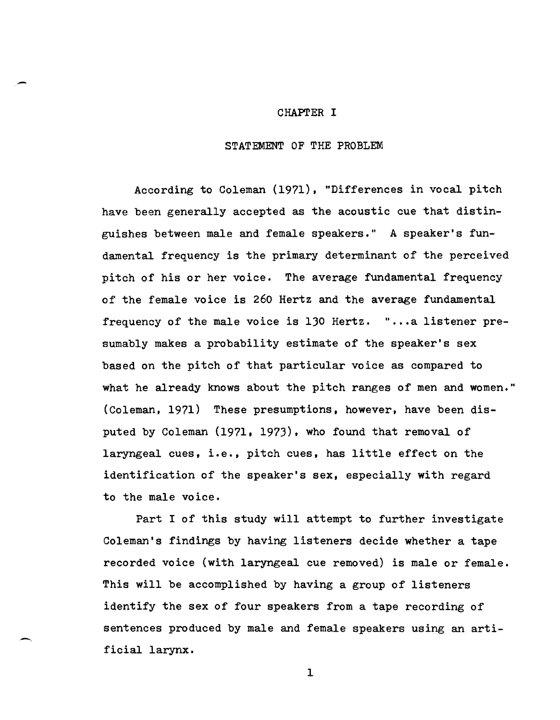### CHAPTER I

-

#### STATEMENT OF THE PROBLEM

According to Coleman (1971), "Differences in vocal pitch have been generally accepted as the acoustic cue that distinguishes between male and female speakers." A speaker's fundamental frequency is the primary determinant of the perceived pitch of his or her voice. The average fundamental frequency of the female voice is 260 Hertz and the average fundamental frequency of the male voice is 130 Hertz. "...a listener presumably makes a probability estimate of the speaker's sex based on the pitch of that particular voice as compared to what he already knows about the pitch ranges of men and women." (Coleman, 1971) These presumptions, however, have been disputed by Coleman (1971. 1973), who found that removal of laryngeal cues, i.e., pitch cues, has little effect on the identification of the speaker's sex, especially with regard to the male voice.

Part I of this study will attempt to further investigate Coleman's findings by having listeners decide whether a tape recorded voice (with laryngeal cue removed) is male or female. This will be accomplished by having a group of listeners identify the sex of four speakers from a tape recording of sentences produced by male and female speakers using an artificial larynx.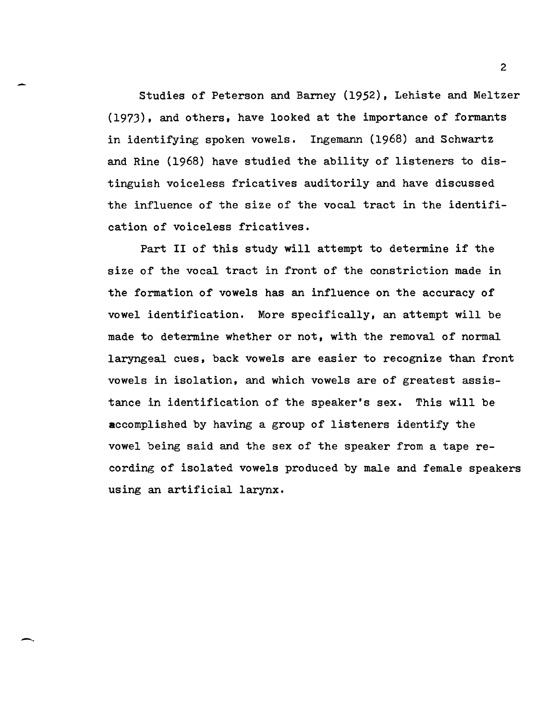Studies of Peterson and Barney (1952), Lehiste and Meltzer (1973), and others, have looked at the importance of formants in identifying spoken vowels. Ingemann (1968) and Schwartz and Rine (1968) have studied the ability of listeners to distinguish voiceless fricatives auditorily and have discussed the influence of the size of the vocal tract in the identification of voiceless fricatives.

Part II of this study will attempt to determine if the size of the vocal tract in front of the constriction made in the formation of vowels has an influence on the accuracy of vowel identification. More specifically, an attempt will be made to determine whether or not, with the removal of normal laryngeal cues, back vowels are easier to recognize than front vowels in isolation, and which vowels are of greatest assistance in identification of the speaker's sex. This will be accomplished by having a group of listeners identify the vowel being said and the sex of the speaker from a tape recording of isolated vowels produced by male and female speakers using an artificial larynx.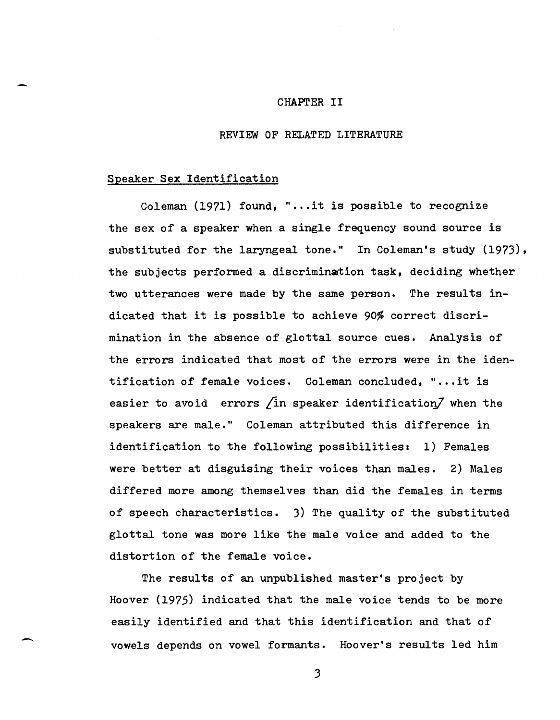#### CHAPTER II

#### REVIEW OF RELATED LITERATURE

#### Speaker Sex Identification

-

Coleman (1971) found, "...it is possible to recognize the sex of a speaker when a single frequency sound source is substituted for the laryngeal tone." In Coleman's study (1973), the subjects performed a discrimination task, deciding whether two utterances were made by the same person. The results indicated that it is possible to achieve 90% correct discrimination in the absence of glottal source cues. Analysis of the errors indicated that most of the errors were in the identification of female voices. Coleman concluded, "...it is easier to avoid errors  $\sin$  speaker identification $\sin$  when the speakers are male," Coleman attributed this difference in identification to the following possibilities: 1) Females were better at disguising their voices than males. 2) Males differed more among themselves than did the females in terms of speech characteristics, 3) The quality of the substituted glottal tone was more like the male voice and added to the distortion of the female voice.

The results of an unpublished master's project by Hoover (1975) indicated that the male voice tends to be more easily identified and that this identification and that of vowels depends on vowel formants. Hoover's results led him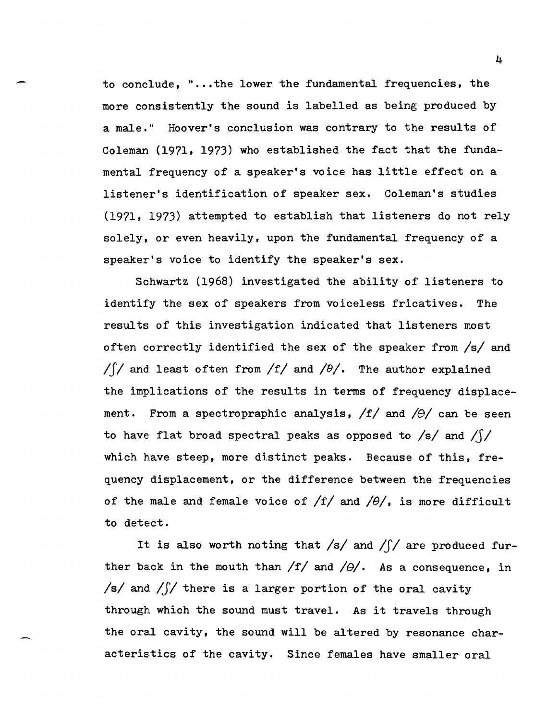to conclude, " $\ldots$  the lower the fundamental frequencies, the more consistently the sound is labelled as being produced by a male." Hoover's conclusion was contrary to the results of Coleman (1971. 1973) who established the fact that the fundamental frequency of a speaker's voice has little effect on a listener's identification of speaker sex. Coleman's studies (1971. 1973) attempted to establish that listeners do not rely solely, or even heavily, upon the fundamental frequency of a speaker's voice to identify the speaker's sex.

Schwartz (1968) investigated the ability of listeners to identify the sex of speakers from voiceless fricatives. The results of this investigation indicated that listeners most often correctly identified the sex of the speaker from */sl* and *ISI* and least often from  $/f$  and  $/θ$ . The author explained the implications of the results in terms of frequency displacement. From a spectropraphic analysis,  $/f/$  and  $/ \theta/$  can be seen to have flat broad spectral peaks as opposed to  $/s/$  and  $/!/$ which have steep, more distinct peaks. Because of this, frequency displacement. or the difference between the frequencies of the male and female voice of  $/f/$  and  $/0/$ , is more difficult to detect.

It is also worth noting that */sl* and *IS/* are produced further back in the mouth than  $/f/$  and  $/\theta/$ . As a consequence, in *Is/* and *IJI* there is a larger portion of the oral cavity through which the sound must travel. As it travels through the oral cavity, the sound will be altered by resonance characteristics of the cavity. Since females have smaller oral

-.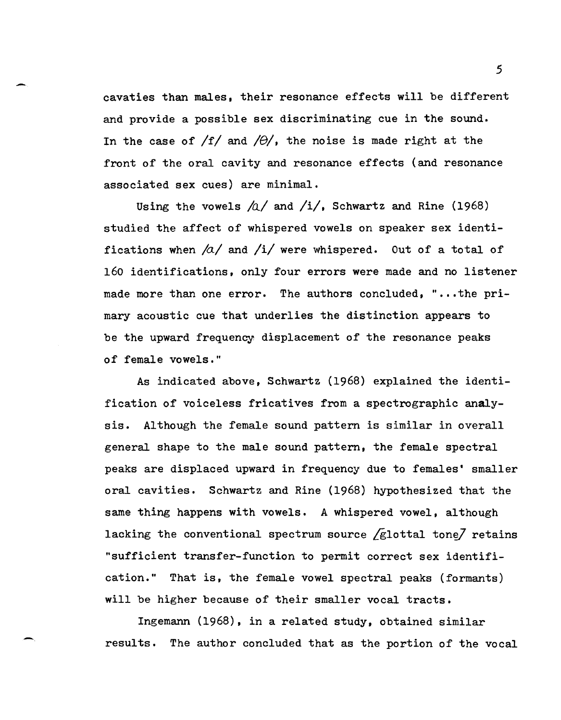- <sup>5</sup> cavaties than males, their resonance effects will be different and provide a possible sex discriminating cue in the sound. In the case of  $/f/$  and  $/\theta/$ , the noise is made right at the front of the oral cavity and resonance effects (and resonance associated sex cues) are minimal.

> Using the vowels  $\Delta/$  and  $/i/$ , Schwartz and Rine (1968) studied the affect of whispered vowels on speaker sex identifications when  $\frac{a}{a}$  and  $\frac{1}{v}$  were whispered. Out of a total of 160 identifications, only four errors were made and no listener made more than one error. The authors concluded, "...the primary acoustic cue that underlies the distinction appears to be the upward frequency displacement of the resonance peaks of female vowels."

> As indicated above, Schwartz (1968) explained the identification of voiceless fricatives from a spectrographic analysis. Although the female sound pattern is similar in overall general shape to the male sound pattern, the female spectral peaks are displaced upward in frequency due to females' smaller oral cavities. Schwartz and Rine (1968) hypothesized that the same thing happens with vowels. A whispered vowel, although lacking the conventional spectrum source  $\sqrt{g}$ lottal tone $\sqrt{g}$  retains "sufficient transfer-function to permit correct sex identification." That is, the female vowel spectral peaks (formants) will be higher because of their smaller vocal tracts.

> Ingemann (1968), in a related study, obtained similar results. The author concluded that as the portion of the vocal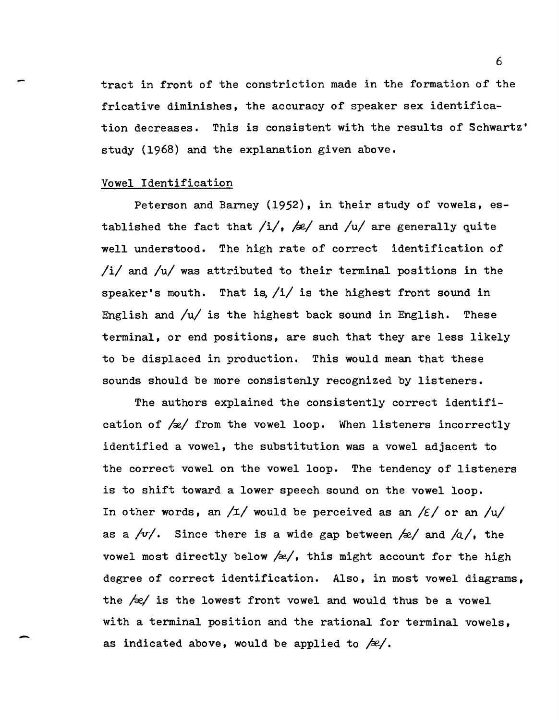tract in front of the constriction made in the formation of the fricative diminishes, the accuracy of speaker sex identification decreases. This is consistent with the results of Schwartz' study (1968) and the explanation given above.

#### Vowel Identification

-

Peterson and Barney (1952), in their study of vowels, established the fact that /i/, /e/ and /u/ are generally quite well understood. The high rate of correct identification of /i/ and /u/ was attributed to their terminal positions in the speaker's mouth. That is  $/i/$  is the highest front sound in English and /u/ is the highest back sound in English. These terminal, or end positions, are such that they are less likely to be displaced in production. This would mean that these sounds should be more consistenly recognized by listeners.

The authors explained the consistently correct identification of  $\sqrt{\alpha}$  from the vowel loop. When listeners incorrectly identified a vowel, the SUbstitution was a vowel adjacent to the correct vowel on the vowel loop. The tendency of listeners is to shift toward a lower speech sound on the vowel loop. In other words, an  $/I/$  would be perceived as an  $\frac{\ell}{\epsilon}$  or an  $\frac{\ell}{\mu}$ as a  $/v'$ . Since there is a wide gap between  $/x'$  and  $/a'$ , the vowel most directly below  $/\approx/$ , this might account for the high degree of correct identification. Also, in most vowel diagrams, the  $/ze/$  is the lowest front vowel and would thus be a vowel with a terminal position and the rational for terminal vowels, as indicated above, would be applied to */£1.*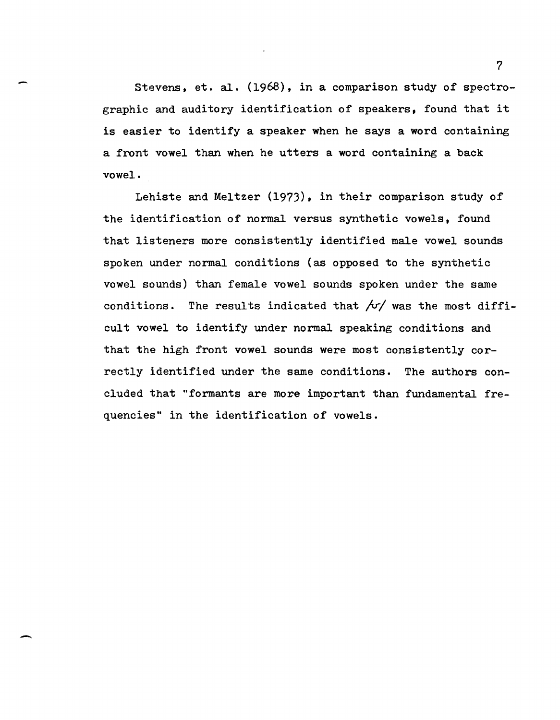Stevens, et. al. (1968), in a comparison study of spectrographic and auditory identification of speakers. found that it is easier to identify a speaker when he says a word containing a front vowel than when he utters a word containing a back vowel.

Lehiste and Meltzer (1973), in their comparison study of the identification of normal versus synthetic vowels, found that listeners more consistently identified male vowel sounds spoken under normal conditions (as opposed to the synthetic vowel sounds) than female vowel sounds spoken under the same conditions. The results indicated that  $f\sqrt{y}$  was the most difficult vowel to identify under normal speaking conditions and that the high front vowel sounds were most consistently correctly identified under the same conditions. The authors concluded that "formants are more important than fundamental frequencies" in the identification of vowels.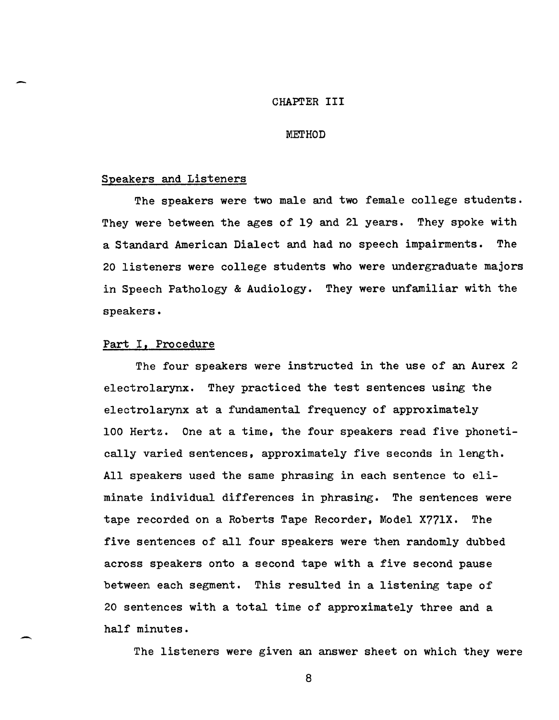#### CHAPrER III

#### MErHOD

#### Speakers and Listeners

The speakers were two male and two female college students. They were between the ages of 19 and 21 years. They spoke with a Standard American Dialect and had no speech impairments. The 20 listeners were college students who were undergraduate majors in Speech Pathology & Audiology. They were unfamiliar with the speakers.

#### Part I, Procedure

-

The four speakers were instructed in the use of an Aurex 2 electrolarynx. They practiced the test sentences using the electrolarynx at a fundamental frequency of approximately 100 Hertz. One at a time, the four speakers read five phonetically varied sentences, approximately five seconds in length. All speakers used the same phrasing in each sentence to eliminate individual differences in phrasing. The sentences were tape recorded on a Roberts Tape Recorder, Model X77lX. The five sentences of all four speakers were then randomly dubbed across speakers onto a second tape with a five second pause between each segment. This resulted in a listening tape of 20 sentences with a total time of approximately three and a half minutes.

The listeners were given an answer sheet on which they were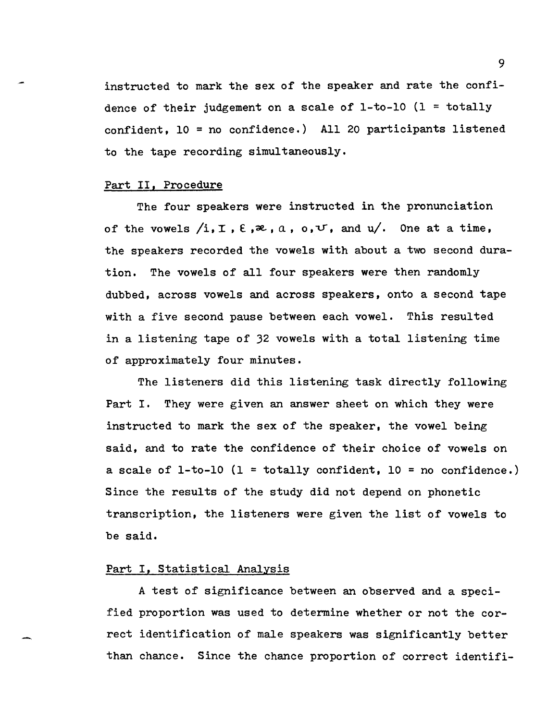instructed to mark the sex of the speaker and rate the confidence of their judgement on a scale of  $1-to-10$   $(1 = totally$ confident, 10 = no confidence.) All 20 participants listened to the tape recording simultaneously.

#### Part II, Procedure

The four speakers were instructed in the pronunciation of the vowels  $/i, I, \varepsilon, \infty, a, o, \mathcal{V}$ , and  $u/$ . One at a time, the speakers recorded the vowels with about a two second duration. The vowels of all four speakers were then randomly dubbed, across vowels and across speakers, onto a second tape with a five second pause between each vowel. This resulted in a listening tape of 32 vowels with a total listening time of approximately four minutes.

The listeners did this listening task directly following Part I. They were given an answer sheet on which they were instructed to mark the sex of the speaker, the vowel being said, and to rate the confidence of their choice of vowels on a scale of 1-to-10 (1 = totally confident, 10 = no confidence.) Since the results of the study did not depend on phonetic transcription, the listeners were given the list of vowels to be said.

#### Part I, Statistical Analysis

A test of significance between an observed and a specified proportion was used to determine whether or not the correct identification of male speakers was significantly better than chance. Since the chance proportion of correct identifi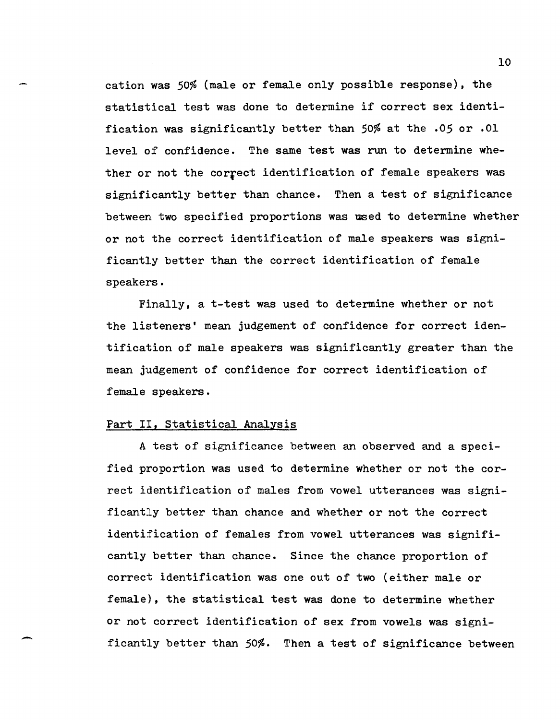cation was 50% (male or female only possible response), the statistical test was done to determine if correct sex identification was significantly better than 50% at the .05 or .01 level of confidence. The same test was run to determine whether or not the correct identification of female speakers was significantly better than chance. Then a test of significance between two specified proportions was used to determine whether or not the correct identification of male speakers was significantly better than the correct identification of female speakers.

Finally, a t-test was used to determine whether or not the listeners' mean judgement of confidence for correct identification of male speakers was significantly greater than the mean judgement of confidence for correct identification of female speakers.

#### Part II, Statistical Analysis

.-

A test of significance between an observed and a specified proportion was used to determine whether or not the correct identification of males from vowel utterances was significantly better than chance and whether or not the correct identification of females from vowel utterances was significantly better than chance. Since the chance proportion of correct identification was one out of two (either male or female), the statistical test was done to determine whether or not correct identification of sex from vowels was significantly better than 50%. Then a test of significance between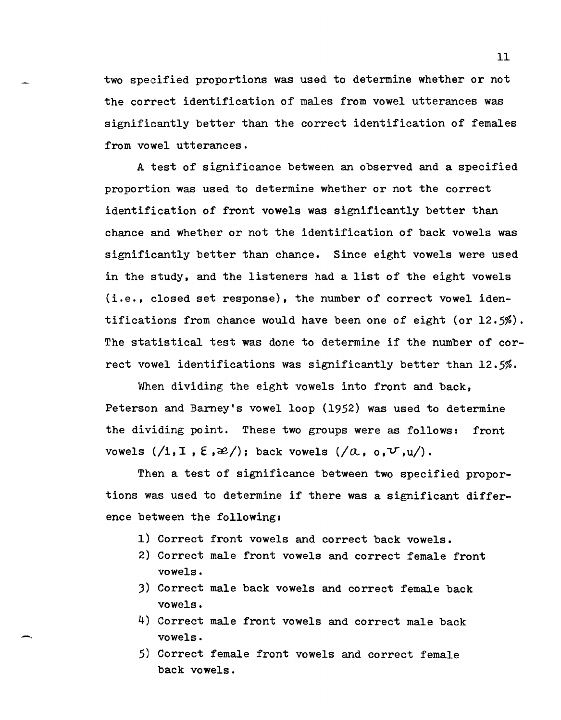two specified proportions was used to determine whether or not the correct identification of males from vowel utterances was significantly better than the correct identification of females from vowel utterances.

A test of significance between an observed and a specified proportion was used to determine whether or not the correct identification of front vowels was significantly better than chance and whether or not the identification of back vowels was significantly better than chance. Since eight vowels were used in the study, and the listeners had a list of the eight vowels (i.e., closed set response), the number of correct vowel identifications from chance would have been one of eight (or 12.5%). The statistical test was done to determine if the number of correct vowel identifications was significantly better than 12.5%.

When dividing the eight vowels into front and back, Peterson and Barney's vowel loop (1952) was used to determine the dividing point. These two groups were as follows: front vowels  $(\overline{1}, 1, \overline{2}, \mathcal{Z})$ ; back vowels  $(\overline{a}, 0, \overline{v}, \underline{u})$ .

Then a test of significance between two specified proportions was used to determine if there was a significant difference between the following:

- 1) Correct front vowels and correct back vowels.
- 2) Correct male front vowels and correct female front vowels.
- 3) Correct male back vowels and correct female back vowels.
- 4) Correct male front vowels and correct male back vowels.

--

5) Correct female front vowels and correct female back vowels.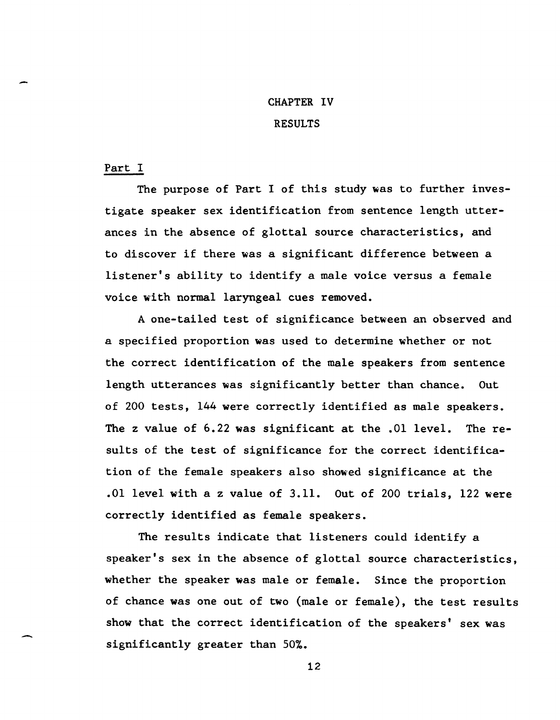## CHAPTER IV

### RESULTS

#### Part I

-

The purpose of Part I of this study was to further investigate speaker sex identification from sentence length utterances in the absence of glottal source characteristics, and to discover if there was a significant difference between a listener's ability to identify a male voice versus a female voice with normal laryngeal cues removed.

A one-tailed test of significance between an observed and a speclfied proportion was used to determine whether or not the correct identification of the male speakers from sentence length utterances was significantly better than chance. Out of 200 tests, 144 were correctly identified as male speakers. The z value of 6.22 was significant at the .01 level. The results of the test of significance for the correct identification of the female speakers also showed significance at the .01 level with a z value of 3.11. Out of 200 trials, 122 were correctly identified as female speakers.

The results indicate that listeners could identify a speaker's sex in the absence of glottal source characteristics, whether the speaker was male or female. Since the proportion of chance was one out of two (male or female), the test results show that the correct identification of the speakers' sex was significantly greater than 50%.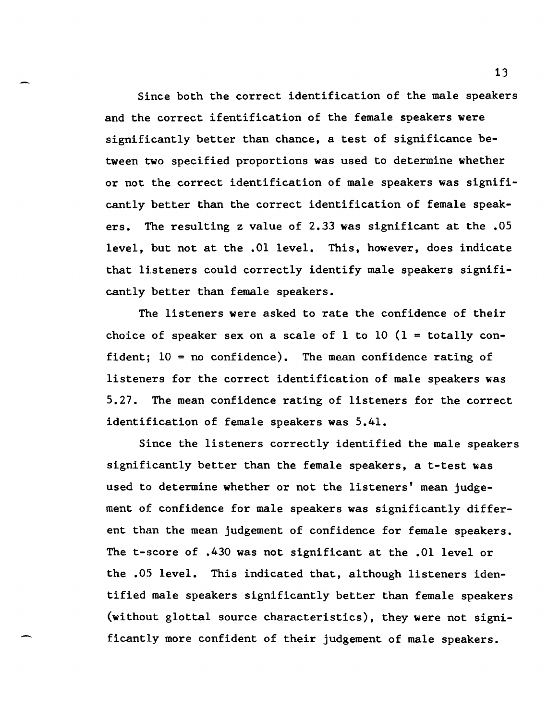Since both the correct identification of the male speakers and the correct ifentification of the female speakers were significantly better than chance, a test of significance between two specified proportions was used to determine whether or not the correct identification of male speakers was significantly better than the correct identification of female speakers. The resulting z value of 2.33 was significant at the .05 level, but not at the .01 level. This, however, does indicate that listeners could correctly identify male speakers significantly better than female speakers.

The listeners were asked to rate the confidence of their choice of speaker sex on a scale of 1 to 10  $(1 -$  totally confident; 10 = no confidence). The mean confidence rating of listeners for the correct identification of male speakers was 5.27. The mean confidence rating of listeners for the correct identification of female speakers was 5.41.

Since the listeners correctly identified the male speakers significantly better than the female speakers, a t-test was used to determine whether or not the listeners' mean judgement of confidence for male speakers was significantly different than the mean judgement of confidence for female speakers. The t-score of .430 was not significant at the .01 level or the .05 level. This indicated that, although listeners identified male speakers significantly better than female speakers (without glottal source characteristics), they were not significantly more confident of their judgement of male speakers.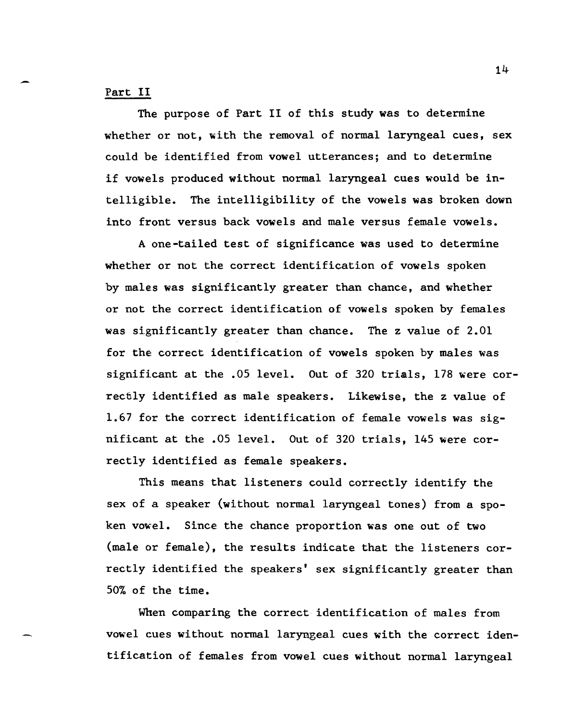## Part II

The purpose of Part II of this study was to determine whether or not, with the removal of normal laryngeal cues, sex could be identified from vowel utterances; and to determine if vowels produced without normal laryngeal cues would be intelligible. The intelligibility of the vowels was broken down into front versus back vowels and male versus female vowels.

A one-tailed test of significance was used to determine whether or not the correct identification of vowels spoken by males was significantly greater than chance, and whether or not the correct identification of vowels spoken by females was significantly greater than chance. The z value of 2.01 for the correct identification of vowels spoken by males was significant at the .05 level. Out of 320 trials, 178 were correctly identified as male speakers. Likewise, the z value of 1.67 for the correct identification of female vowels was significant at the .05 level. Out of 320 trials, 145 were correctly identified as female speakers.

This means that listeners could correctly identify the sex of a speaker (without normal laryngeal tones) from a spoken vowel. Since the chance proportion was one out of two (male or female), the results indicate that the listeners correctly identified the speakers' sex significantly greater than 50% of the time.

When comparing the correct identification of males from vowel cues without normal laryngeal cues with the correct identification of females from vowel cues without normal laryngeal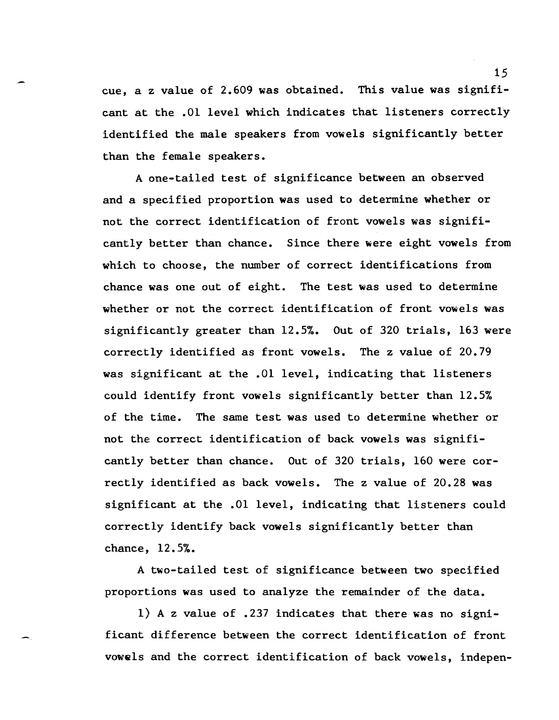cue, a z value of 2.609 was obtained. This value was significant at the .01 level which indicates that listeners correctly identified the male speakers from vowels significantly better than the female speakers.

A one-tailed test of significance between an observed and a specified proportion was used to determine whether or not the correct identification of front vowels was significantly better than chance. Since there were eight vowels from which to choose, the number of correct identifications from chance was one out of eight. The test was used to determine whether or not the correct identification of front vowels was significantly greater than 12.5%. Out of 320 trials, 163 were correctly identified as front vowels. The z value of 20.79 was significant at the .01 level, indicating that listeners could identify front vowels significantly better than 12.5% of the time. The same test was used to determine whether or not the correct identification of back vowels was significantly better than chance. Out of 320 trials, 160 were correctly identified as back vowels. The z value of 20.28 was significant at the .01 level, indicating that listeners could correctly identify back vowels significantly better than chance, 12.5%.

A two-tailed test of significance between two specified proportions was used to analyze the remainder of the data.

1) A z value of .237 indicates that there was no significant difference between the correct identification of front vowels and the correct identification of back vowels, indepen-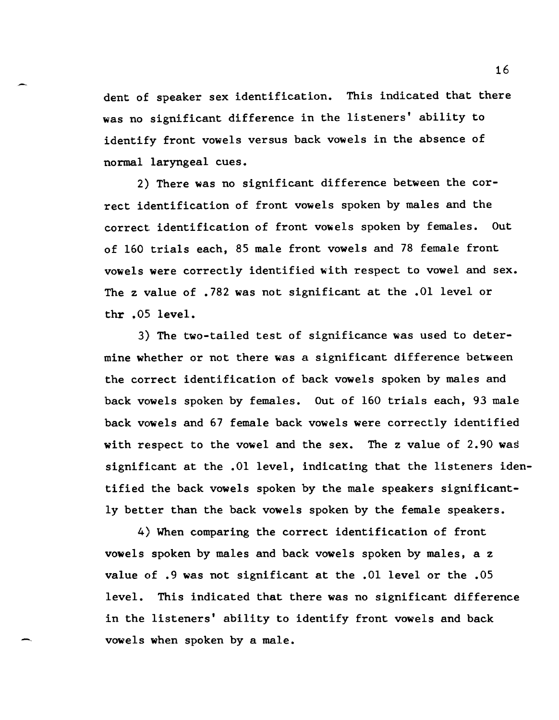dent of speaker sex identification. This indicated that there was no significant difference in the listeners' ability to identify front vowels versus back vowels in the absence of normal laryngeal cues.

2) There was no significant difference between the correct identification of front vowels spoken by males and the correct. identification of front vowels spoken by females. Out of 160 trials each, 85 male front vowels and 78 female front vowels were correctly identified with respect to vowel and sex. The z value of .782 was not significant at the .01 level or thr .05 level.

3) The two-tailed test of significance was used to determine whether or not there was a significant difference between the correct identification of back vowels spoken by males and back vowels spoken by females. Out of 160 trials each, 93 male back vowels and 67 female back vowels were correctly identified with respect to the vowel and the sex. The z value of 2.90 was significant at the .01 level, indicating that the listeners identified the back vowels spoken by the male speakers significantly better than the back vowels spoken by the female speakers.

4) When comparing the correct identification of front vowels spoken by males and back vowels spoken by males, a z value of .9 was not significant at the .01 level or the .05 level. This indicated that there was no significant difference in the listeners' ability to identify front vowels and back vowels when spoken by a male.

-.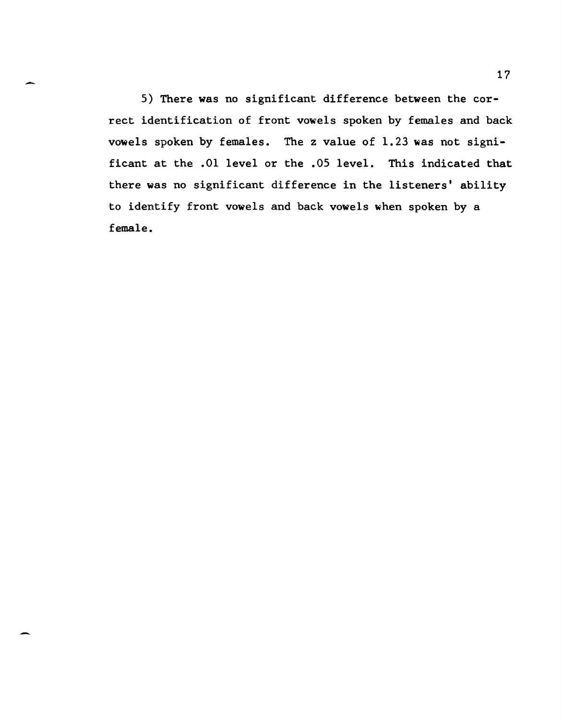5) There was no significant difference between the correct identification of front vowels spoken by females and back vowels spoken by females. The z value of 1.23 was not significant at the .01 level or the .05 level. This indicated that there was no significant difference in the listeners' ability to identify front vowels and back vowels when spoken by a female.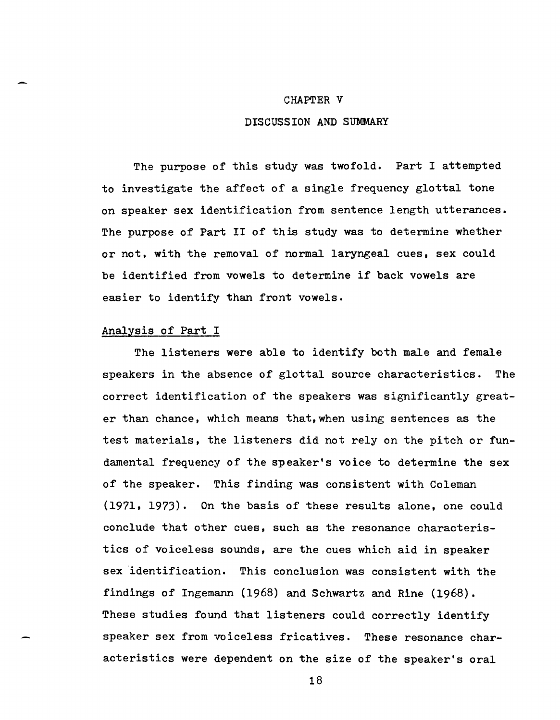#### CHAPTER V

### DISCUSSION AND SUMMARY

The purpose of this study was twofold. Part I attempted to investigate the affect of a single frequency glottal tone on speaker sex identification from sentence length utterances. The purpose of Part II of this study was to determine whether or not. with the removal of normal laryngeal cues, sex could be identified from vowels to determine if back vowels are easier to identify than front vowels.

### Analysis of Part I

The listeners were able to identify both male and female speakers in the absence of glottal source characteristics. The correct identification of the speakers was significantly greater than chance, which means that,when using sentences as the test materials, the listeners did not rely on the pitch or fundamental frequency of the speaker's voice to determine the sex of the speaker. This finding was consistent with Coleman (197l. 1973). On the basis of these results alone. one could conclude that other cues, such as the resonance characteristics of voiceless sounds, are the cues which aid in speaker sex identification. This conclusion was consistent with the findings of Ingemann (1968) and Schwartz and Rine (1968). These studies found that listeners could correctly identify speaker sex from voiceless fricatives. These resonance characteristics were dependent on the size of the speaker's oral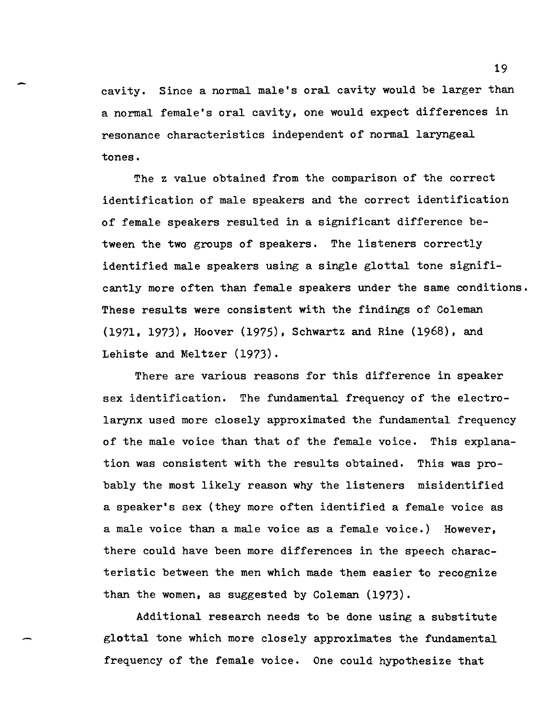- <sup>19</sup> cavity. Since a normal male's oral cavity would be larger than a normal female's oral cavity, one would expect differences in resonance characteristics independent of normal laryngeal tones.

> The z value obtained from the comparison of the correct identification of male speakers and the correct identification of female speakers resulted in a significant difference between the two groups of speakers. The listeners correctly identified male speakers using a single glottal tone significantly more often than female speakers under the same conditions. These results were consistent with the findings of Coleman (1971,1973), Hoover (1975), Schwartz and Rine (1968), and Lehiste and Meltzer (1973).

There are various reasons for this difference in speaker sex identification. The fundamental frequency of the electrolarynx used more closely approximated the fundamental frequency of the male voice than that of the female voice. This explanation was consistent with the results obtained. This was probably the most likely reason why the listeners misidentified a speaker's sex (they more often identified a female voice as a male voice than a male voice as a female voice.) However, there could have been more differences in the speech characteristic between the men which made them easier to recognize than the women, as suggested by Coleman  $(1973)$ .

Additional research needs to be done using a substitute glottal tone which more closely approximates the fundamental frequency of the female voice. One could hypothesize that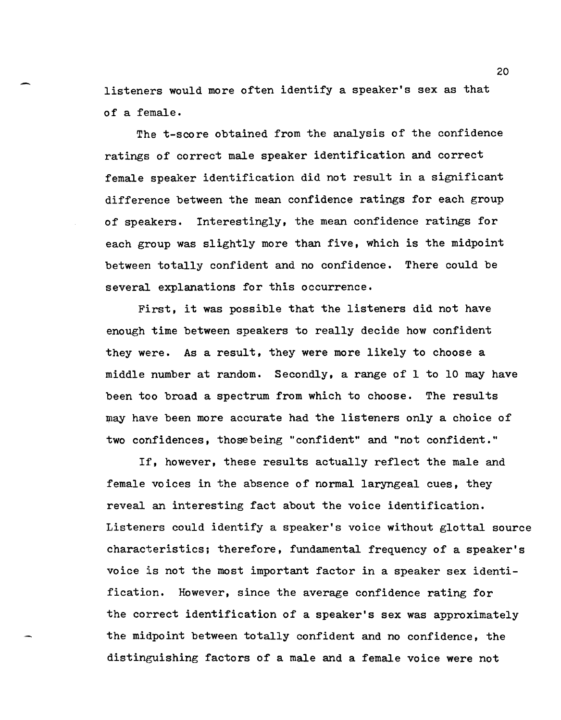listeners would more often identify a speaker's sex as that of a female.

The t-score obtained from the analysis of the confidence ratings of correct male speaker identification and correct female speaker identification did not result in a significant difference between the mean confidence ratings for each group of speakers. Interestingly, the mean confidence ratings for each group was slightly more than five, which is the midpoint between totally confident and no confidence. There could be several explanations for this occurrence.

First, it was possible that the listeners did not have enough time between speakers to really decide how confident they were. As a result, they were more likely to choose a middle number at random. Secondly, a range of I to 10 may have been too broad a spectrum from which to choose. The results may have been more accurate had the listeners only a choice of two confidences, thosebeing "confident" and "not confident."

If, however, these results actually reflect the male and female voices in the absence of normal laryngeal cues, they reveal an interesting fact about the voice identification. Listeners could identify a speaker's voice without glottal source characteristics; therefore, fundamental frequency of a speaker's voice is not the most important factor in a speaker sex identification. However, since the average confidence rating for the correct identification of a speaker's sex was approximately the midpoint between totally confident and no confidence, the distinguishing factors of a male and a female voice were not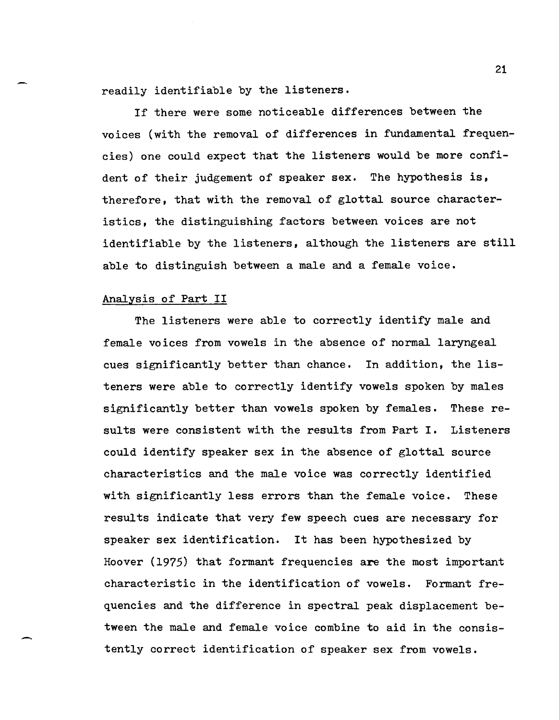readily identifiable by the listeners.

If there were some noticeable differences between the voices (with the removal of differences in fundamental frequencies) one could expect that the listeners would be more confident of their judgement of speaker sex. The hypothesis is, therefore, that with the removal of glottal source characteristics, the distinguishing factors between voices are not identifiable by the listeners, although the listeners are still able to distinguish between a male and a female voice.

### Analysis of Part II

.-

The listeners were able to correctly identify male and female voices from vowels in the absence of normal laryngeal cues significantly better than chance. In addition, the listeners were able to correctly identify vowels spoken by males significantly better than vowels spoken by females. These results were consistent with the results from Part I. Listeners could identify speaker sex in the absence of glottal source characteristics and the male voice was correctly identified with significantly less errors than the female voice. These results indicate that very few speech cues are necessary for speaker sex identification. It has been hypothesized by Hoover (1975) that formant frequencies are the most important characteristic in the identification of vowels. Formant frequencies and the difference in spectral peak displacement between the male and female voice combine to aid in the consistently correct identification of speaker sex from vowels.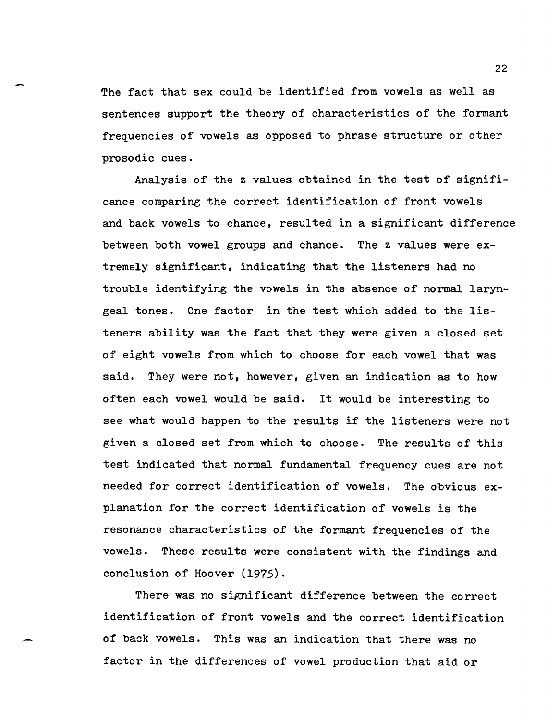The fact that sex could be identified from vowels as well as sentences support the theory of characteristics of the formant frequencies of vowels as opposed to phrase structure or other prosodic cues.

Analysis of the z values obtained in the test of significance comparing the correct identification of front vowels and back vowels to chance, resulted in a significant difference between both vowel groups and chance. The z values were extremely significant, indicating that the listeners had no trouble identifying the vowels in the absence of normal laryngeal tones. One factor in the test which added to the listeners ability was the fact that they were given a closed set of eight vowels from which to choose for each vowel that was said. They were not, however, given an indication as to how often each vowel would be said. It would be interesting to see what would happen to the results if the listeners were not given a closed set from which to choose. The results of this test indicated that normal fundamental frequency cues are not needed for correct identification of vowels. The obvious explanation for the correct identification of vowels is the resonance characteristics of the formant frequencies of the vowels. These results were consistent with the findings and conclusion of Hoover (1975).

There was no significant difference between the correct identification of front vowels and the correct identification of back vowels. This was an indication that there was no factor in the differences of vowel production that aid or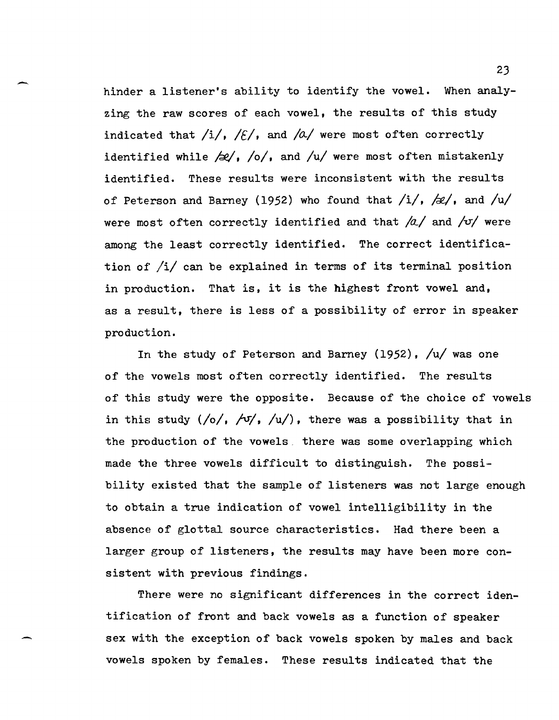hinder a listener's ability to identify the vowel. When analyzing the raw scores of each vowel, the results of this study indicated that  $/i/$ ,  $/E/$ , and  $/a/$  were most often correctly identified while  $\frac{1}{2}$ ,  $\frac{1}{2}$ , and  $\frac{1}{2}$  were most often mistakenly identified. These results were inconsistent with the results of Peterson and Barney (1952) who found that  $/i/$ ,  $/d/$ , and  $/u/$ were most often correctly identified and that  $/a/$  and  $\sqrt{v}$  were among the least correctly identified. The correct identification of  $/i/$  can be explained in terms of its terminal position in production. That is, it is the highest front vowel and, as a result, there is less of a possibility of error in speaker production.

-

-

In the study of Peterson and Barney (1952),  $/u/$  was one of the vowels most often correctly identified. The results of this study were the opposite. Because of the choice of vowels in this study  $\frac{1}{0}, \frac{1}{1}, \frac{1}{1}$ , there was a possibility that in the production of the vowels. there was some overlapping which made the three vowels difficult to distinguish. The possibility existed that the sample of listeners was not large enough to obtain a true indication of vowel intelligibility in the absence of glottal source characteristics. Had there been a larger group of listeners, the results may have been more consistent with previous findings.

There were no significant differences in the correct identification of front and back vowels as a function of speaker sex with the exception of back vowels spoken by males and back vowels spoken by females. These results indicated that the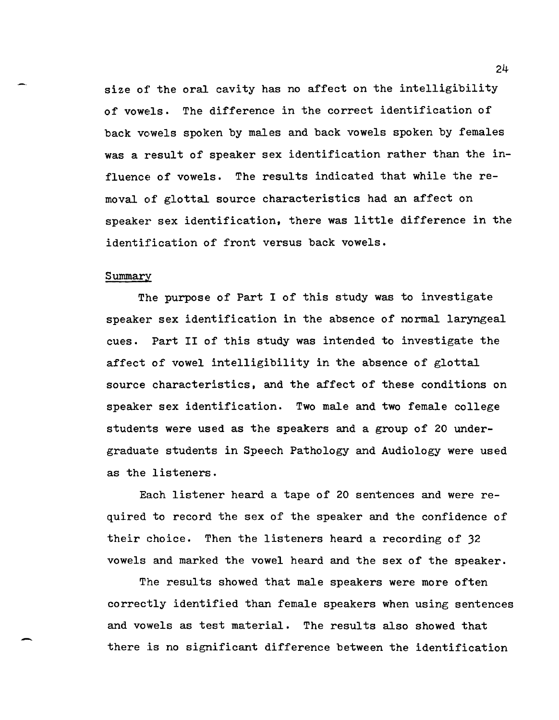size of' the oral cavity has no affect on the intelligibility of vowels. The difference in the correct identification of back vowels spoken by males and back vowels spoken by females was a result of speaker sex identification rather than the influence of vowels. The results indicated that while the removal *of* glottal source characteristics had an affect on speaker sex identification, there was little difference in the identification of front versus back vowels.

#### Summary

-

The purpose of Part I of this study was to investigate speaker sex identification in the absence of normal laryngeal cues. Part II of this study was intended to investigate the affect of vowel intelligibility in the absence of glottal source characteristics. and the affect of these conditions on speaker sex identification. Two male and two female college students were used as the speakers and a group of 20 undergraduate students in Speech Pathology and Audiology were used as the listeners.

Each listener heard a tape of 20 sentences and were required to record the sex of the speaker and the confidence of their choice. Then the listeners heard a recording of 32 vowels and marked the vowel heard and the sex of the speaker.

The results showed that male speakers were more often correctly identified than female speakers when using sentences and vowels as test material. The results also showed that there is no significant difference between the identification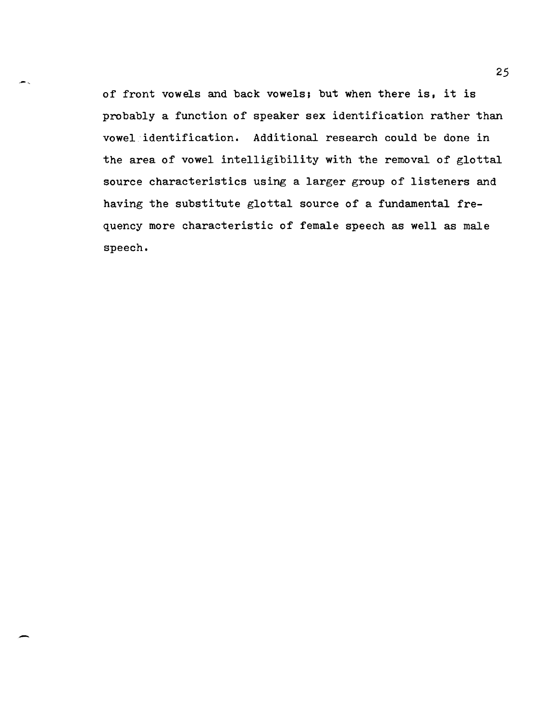of front vowels and back vowels; but when there is, it is probably a function of speaker sex identification rather than vowel 'identification. Additional research could be done in the area of vowel intelligibility with the removal of glottal source characteristics using a larger group of listeners and having the substitute glottal source of a fundamental frequency more characteristic of female speech as well as male speech.

-.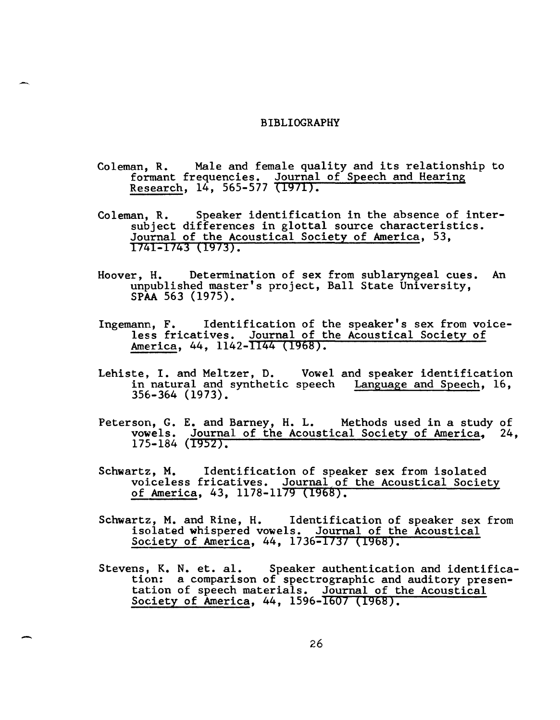#### BIBLIOGRAPHY

-.

-

- Coleman, R. Male and female quality and its relationship to formant frequencies. Journal of Speech and Hearing Research, 14, 565-577 (1971).
- Coleman, R. Speaker identification in the absence of intersubject differences in glottal source characteristics. Journal of the Acoustical Society of America, 53, 1741-1743 (1973).
- Hoover, H. Determination of sex from sublaryngeal cues. An unpublished master's project, Ball State University, SPAA 563 (1975).
- Ingemann, F. Identification of the speaker's sex from voiceless fricatives. Journal of the Acoustical Society of America, 44, 1142-1144 (1968).
- Lehiste, I. and Meltzer, D. Vowel and speaker identification in natural and synthetic speech Language and Speech, 16, 356-364 (1973).
- Peterson, G. E. and Barney, H. L. Methods used in a study of vowels. Journal of the Acoustical Society of America, 24, 175-184 (1952).
- Schwartz, M. Identification of speaker sex from isolated voiceless fricatives. Journal of the Acoustical Society of America, 43, 1178-1179 (1968).
- Schwartz, M. and Rine, H. Identification of speaker sex from isolated whispered vowels. Journal of the Acoustical Society of America, 44, 1736-1737 (1968).
- Stevens, K. N. et. al. Speaker authentication and identifica-<br>tion: a comparison of spectrographic and auditory presention: a comparison of spectrographic and auditory presentation of speech materials. Journal of the Acoustical Society of America, 44, 1596-1607 (1968).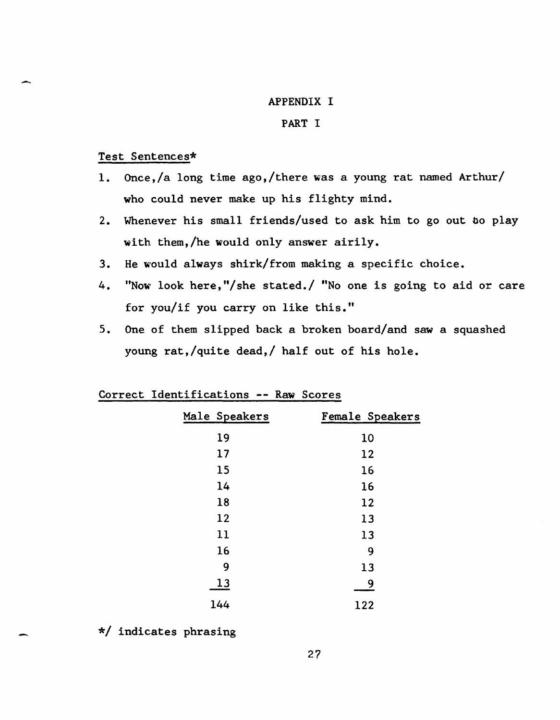## APPENDIX I

## PART I

## Test Sentences\*

- 1. Once,/a long time ago,/there was a young rat named Arthur/ who could never make up his flighty mind.
- 2. Whenever his small friends/used to ask him to go out bo play with them,/he would only answer airily.
- 3. He would always shirk/from making a specific choice.
- 4. "Now' look here, "/she stated./ "No one is going to aid or care for you/if you carry on like this."
- 5. One of them slipped back a broken board/and saw a squashed young rat,/quite dead,/ half out of his hole.

| Male Speakers | Female Speakers |
|---------------|-----------------|
| 19            | 10              |
| 17            | 12              |
| 15            | 16              |
| 14            | 16              |
| 18            | 12              |
| 12            | 13              |
| 11            | 13              |
| 16            | 9               |
| 9             | 13              |
| 13            | 9               |
| 144           | 122             |

## Correct Identifications -- Raw Scores

\*/ indicates phrasing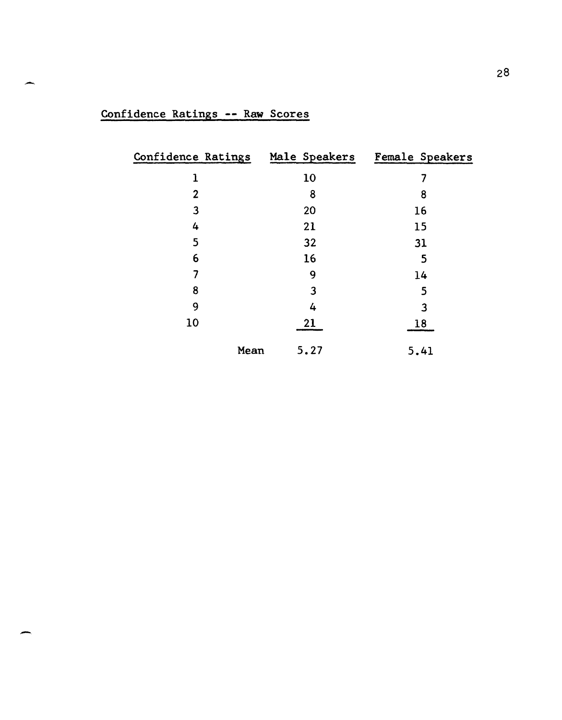| Confidence Ratings |      |      | Male Speakers Female Speakers |
|--------------------|------|------|-------------------------------|
| 1                  |      | 10   | 7                             |
| $\mathbf{2}$       |      | 8    | 8                             |
| 3                  |      | 20   | 16                            |
| 4                  |      | 21   | 15                            |
| 5                  |      | 32   | 31                            |
| 6                  |      | 16   | 5                             |
| 7                  |      | 9    | 14                            |
| 8                  |      | 3    | 5                             |
| 9                  |      | 4    | $\overline{3}$                |
| 10                 |      | 21   | 18                            |
|                    | Mean | 5.27 | 5.41                          |

# Confidence Ratings **--** Raw Scores

-

-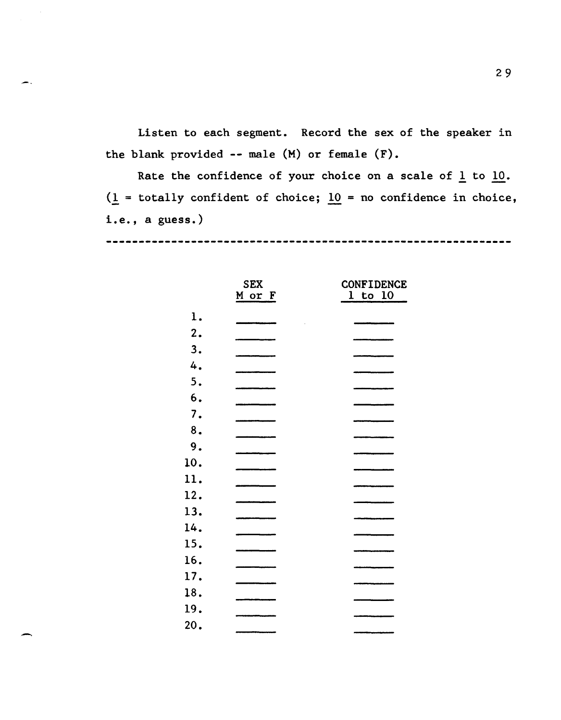Listen to each segment. Record the sex of the speaker in the blank provided -- male (M) or female (F).

Rate the confidence of your choice on a scale of  $1$  to  $10$ .  $(1$  = totally confident of choice;  $10$  = no confidence in choice, i.e., a guess.)

----------------------------------

|     | <b>SEX</b> | <b>CONFIDENCE</b> |  |
|-----|------------|-------------------|--|
|     | M or F     | $1$ to $10$       |  |
| 1.  |            |                   |  |
| 2.  |            |                   |  |
| 3.  |            |                   |  |
| 4.  |            |                   |  |
| 5.  |            |                   |  |
| 6.  |            |                   |  |
| 7.  |            |                   |  |
| 8.  |            |                   |  |
| 9.  |            |                   |  |
| 10. |            |                   |  |
| 11. |            |                   |  |
| 12. |            |                   |  |
| 13. |            |                   |  |
| 14. |            |                   |  |
| 15. |            |                   |  |
| 16. |            |                   |  |
| 17. |            |                   |  |
| 18. |            |                   |  |
| 19. |            |                   |  |
| 20. |            |                   |  |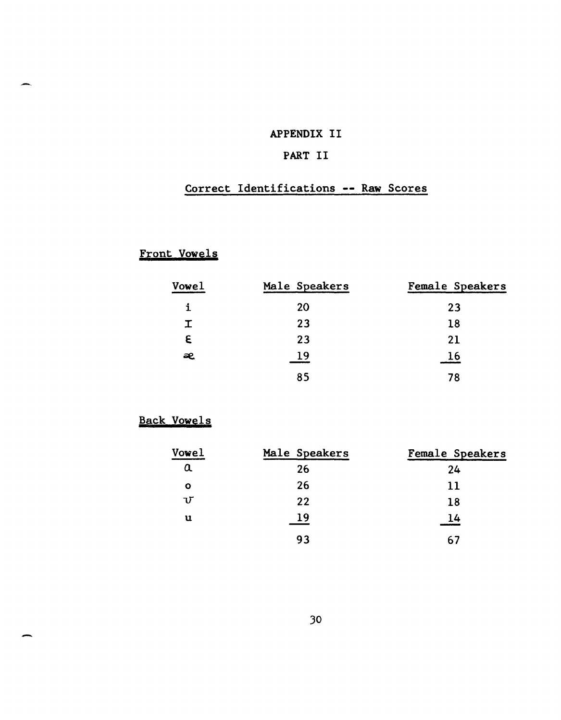## APPENDIX II

## PART II

## Correct Identifications -- Raw Scores

# Front Vowels

| Vowel | Male Speakers | Female Speakers |
|-------|---------------|-----------------|
|       | 20            | 23              |
| I.    | 23            | 18              |
| E     | 23            | 21              |
| æ     | 19            | 16              |
|       | 85            | 78              |

## Back Vowels

-

| Vowel        | Male Speakers | Female Speakers |
|--------------|---------------|-----------------|
| $\alpha$     | 26            | 24              |
| O            | 26            | 11              |
| $\mathbf{U}$ | 22            | 18              |
| u            | 19            | 14              |
|              | 93            | 67              |